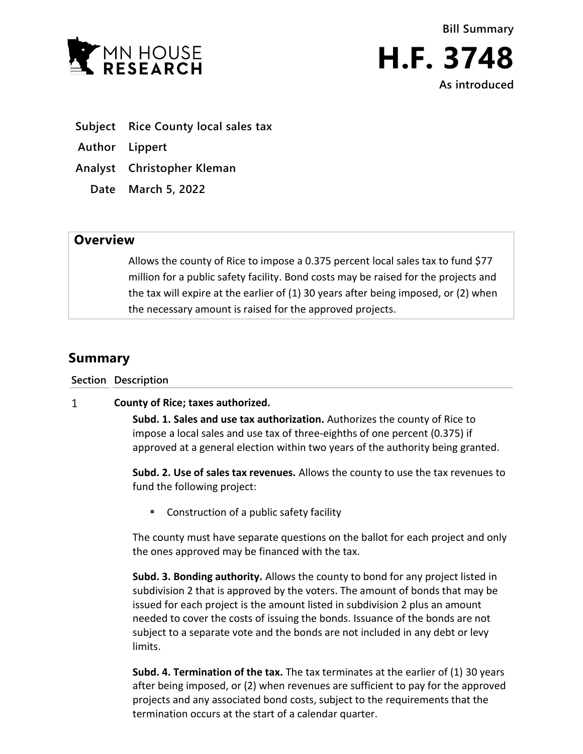



- **Subject Rice County local sales tax**
- **Author Lippert**
- **Analyst Christopher Kleman**
	- **Date March 5, 2022**

## **Overview**

Allows the county of Rice to impose a 0.375 percent local sales tax to fund \$77 million for a public safety facility. Bond costs may be raised for the projects and the tax will expire at the earlier of (1) 30 years after being imposed, or (2) when the necessary amount is raised for the approved projects.

## **Summary**

**Section Description**

## $\mathbf{1}$ **County of Rice; taxes authorized.**

**Subd. 1. Sales and use tax authorization.** Authorizes the county of Rice to impose a local sales and use tax of three-eighths of one percent (0.375) if approved at a general election within two years of the authority being granted.

**Subd. 2. Use of sales tax revenues.** Allows the county to use the tax revenues to fund the following project:

■ Construction of a public safety facility

The county must have separate questions on the ballot for each project and only the ones approved may be financed with the tax.

**Subd. 3. Bonding authority.** Allows the county to bond for any project listed in subdivision 2 that is approved by the voters. The amount of bonds that may be issued for each project is the amount listed in subdivision 2 plus an amount needed to cover the costs of issuing the bonds. Issuance of the bonds are not subject to a separate vote and the bonds are not included in any debt or levy limits.

**Subd. 4. Termination of the tax.** The tax terminates at the earlier of (1) 30 years after being imposed, or (2) when revenues are sufficient to pay for the approved projects and any associated bond costs, subject to the requirements that the termination occurs at the start of a calendar quarter.